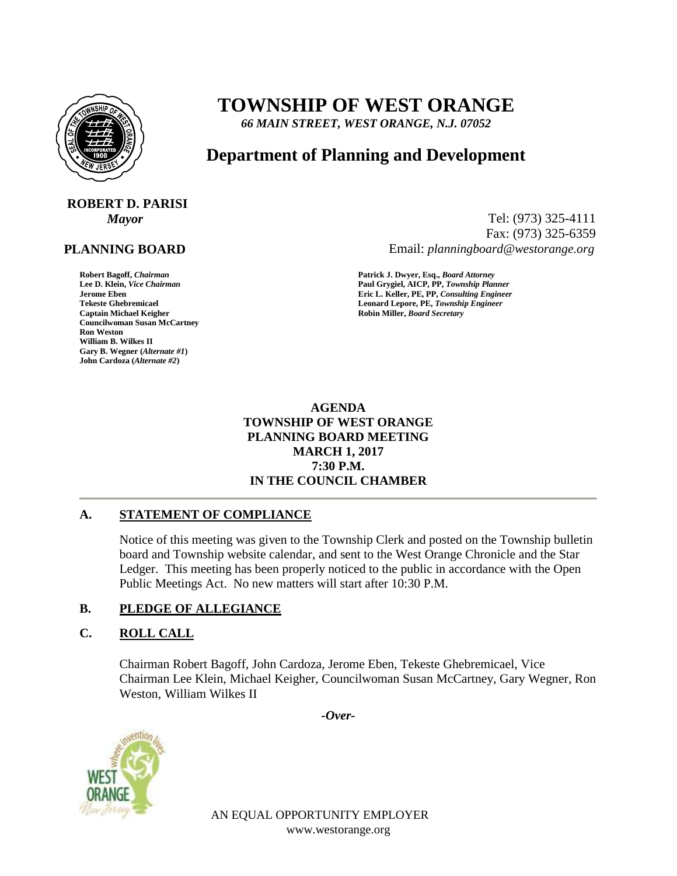

# **TOWNSHIP OF WEST ORANGE**

*66 MAIN STREET, WEST ORANGE, N.J. 07052*

# **Department of Planning and Development**

# **ROBERT D. PARISI**

# **PLANNING BOARD**

**Councilwoman Susan McCartney Ron Weston William B. Wilkes II Gary B. Wegner (***Alternate #1***) John Cardoza (***Alternate #2***)**

*Mayor* Tel: (973) 325-4111 Fax: (973) 325-6359 Email: *planningboard@westorange.org*

**Robert Bagoff,** *Chairman* **Patrick J. Dwyer, Esq.,** *Board Attorney* **Lee D. Klein,** *Vice Chairman* **Paul Grygiel, AICP, PP,** *Township Planner* **Jerome Eben Eric L. Keller, PE, PP,** *Consulting Engineer* **Tekeste Ghebremicael Leonard Lepore, PE,** *Township Engineer***<br>
Captain Michael Keigher<br>
Captain Michael Keigher Captain Michael Keigher Robin Miller,** *Board Secretary*

> **AGENDA TOWNSHIP OF WEST ORANGE PLANNING BOARD MEETING MARCH 1, 2017 7:30 P.M. IN THE COUNCIL CHAMBER**

# **A. STATEMENT OF COMPLIANCE**

Notice of this meeting was given to the Township Clerk and posted on the Township bulletin board and Township website calendar, and sent to the West Orange Chronicle and the Star Ledger. This meeting has been properly noticed to the public in accordance with the Open Public Meetings Act. No new matters will start after 10:30 P.M.

# **B. PLEDGE OF ALLEGIANCE**

#### **C. ROLL CALL**

Chairman Robert Bagoff, John Cardoza, Jerome Eben, Tekeste Ghebremicael, Vice Chairman Lee Klein, Michael Keigher, Councilwoman Susan McCartney, Gary Wegner, Ron Weston, William Wilkes II

*-Over-*



AN EQUAL OPPORTUNITY EMPLOYER www.westorange.org